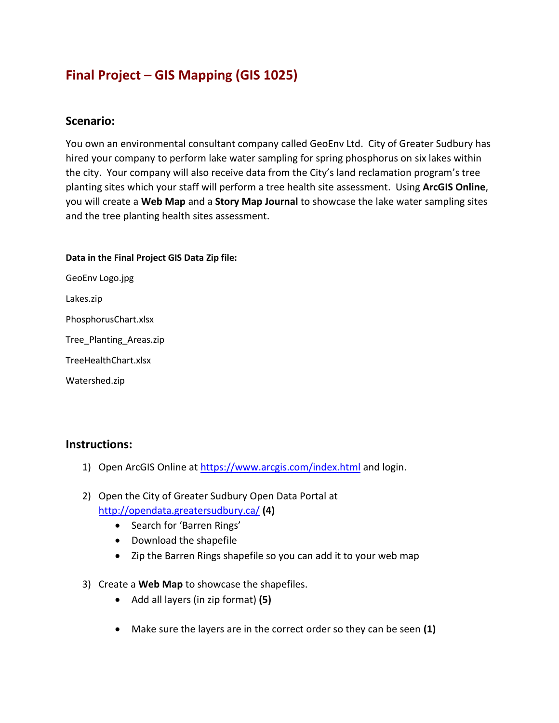# **Final Project – GIS Mapping (GIS 1025)**

## **Scenario:**

You own an environmental consultant company called GeoEnv Ltd. City of Greater Sudbury has hired your company to perform lake water sampling for spring phosphorus on six lakes within the city. Your company will also receive data from the City's land reclamation program's tree planting sites which your staff will perform a tree health site assessment. Using **ArcGIS Online**, you will create a **Web Map** and a **Story Map Journal** to showcase the lake water sampling sites and the tree planting health sites assessment.

#### **Data in the Final Project GIS Data Zip file:**

GeoEnv Logo.jpg Lakes.zip PhosphorusChart.xlsx Tree\_Planting\_Areas.zip TreeHealthChart.xlsx Watershed.zip

### **Instructions:**

- 1) Open ArcGIS Online at<https://www.arcgis.com/index.html> and login.
- 2) Open the City of Greater Sudbury Open Data Portal at <http://opendata.greatersudbury.ca/> **(4)**
	- Search for 'Barren Rings'
	- Download the shapefile
	- Zip the Barren Rings shapefile so you can add it to your web map
- 3) Create a **Web Map** to showcase the shapefiles.
	- Add all layers (in zip format) **(5)**
	- Make sure the layers are in the correct order so they can be seen **(1)**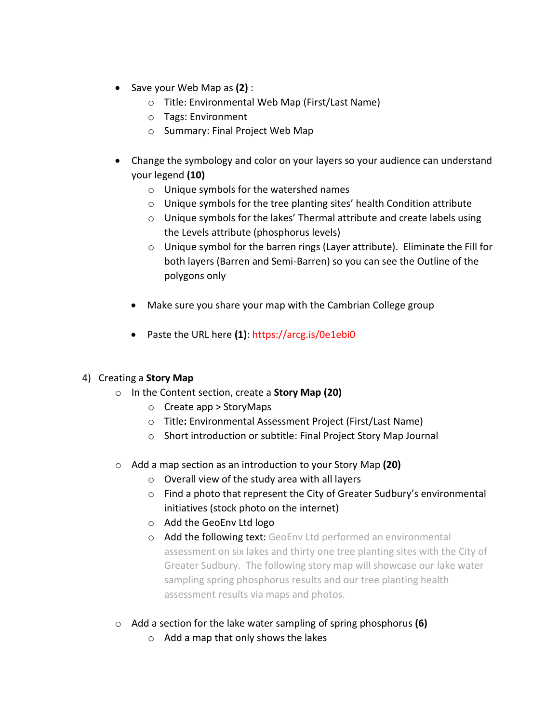- Save your Web Map as **(2)** :
	- o Title: Environmental Web Map (First/Last Name)
	- o Tags: Environment
	- o Summary: Final Project Web Map
- Change the symbology and color on your layers so your audience can understand your legend **(10)**
	- o Unique symbols for the watershed names
	- $\circ$  Unique symbols for the tree planting sites' health Condition attribute
	- $\circ$  Unique symbols for the lakes' Thermal attribute and create labels using the Levels attribute (phosphorus levels)
	- $\circ$  Unique symbol for the barren rings (Layer attribute). Eliminate the Fill for both layers (Barren and Semi-Barren) so you can see the Outline of the polygons only
	- Make sure you share your map with the Cambrian College group
	- Paste the URL here **(1)**: https://arcg.is/0e1ebi0

### 4) Creating a **Story Map**

- o In the Content section, create a **Story Map (20)**
	- o Create app > StoryMaps
	- o Title**:** Environmental Assessment Project (First/Last Name)
	- o Short introduction or subtitle: Final Project Story Map Journal
- o Add a map section as an introduction to your Story Map **(20)**
	- $\circ$  Overall view of the study area with all layers
	- $\circ$  Find a photo that represent the City of Greater Sudbury's environmental initiatives (stock photo on the internet)
	- o Add the GeoEnv Ltd logo
	- o Add the following text: GeoEnv Ltd performed an environmental assessment on six lakes and thirty one tree planting sites with the City of Greater Sudbury. The following story map will showcase our lake water sampling spring phosphorus results and our tree planting health assessment results via maps and photos.
- o Add a section for the lake water sampling of spring phosphorus **(6)**
	- o Add a map that only shows the lakes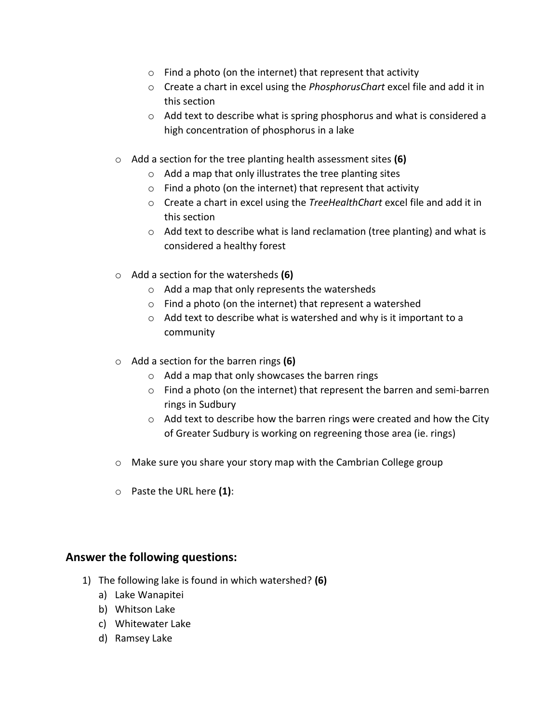- $\circ$  Find a photo (on the internet) that represent that activity
- o Create a chart in excel using the *PhosphorusChart* excel file and add it in this section
- o Add text to describe what is spring phosphorus and what is considered a high concentration of phosphorus in a lake
- o Add a section for the tree planting health assessment sites **(6)**
	- $\circ$  Add a map that only illustrates the tree planting sites
	- $\circ$  Find a photo (on the internet) that represent that activity
	- o Create a chart in excel using the *TreeHealthChart* excel file and add it in this section
	- o Add text to describe what is land reclamation (tree planting) and what is considered a healthy forest
- o Add a section for the watersheds **(6)**
	- o Add a map that only represents the watersheds
	- o Find a photo (on the internet) that represent a watershed
	- o Add text to describe what is watershed and why is it important to a community
- o Add a section for the barren rings **(6)**
	- o Add a map that only showcases the barren rings
	- $\circ$  Find a photo (on the internet) that represent the barren and semi-barren rings in Sudbury
	- $\circ$  Add text to describe how the barren rings were created and how the City of Greater Sudbury is working on regreening those area (ie. rings)
- o Make sure you share your story map with the Cambrian College group
- o Paste the URL here **(1)**:

### **Answer the following questions:**

- 1) The following lake is found in which watershed? **(6)**
	- a) Lake Wanapitei
	- b) Whitson Lake
	- c) Whitewater Lake
	- d) Ramsey Lake